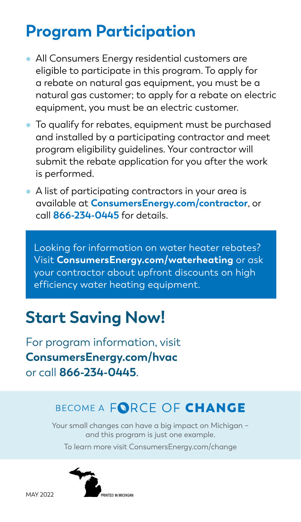### **Program Participation**

- All Consumers Energy residential customers are eligible to participate in this program. To apply for a rebate on natural gas equipment, you must be a natural gas customer; to apply for a rebate on electric equipment, you must be an electric customer.
- To qualify for rebates, equipment must be purchased and installed by a participating contractor and meet program eligibility guidelines. Your contractor will submit the rebate application for you after the work is performed.
- A list of participating contractors in your area is available at **ConsumersEnergy.com/contractor**, or call **866-234-0445** for details.

Looking for information on water heater rebates? Visit **ConsumersEnergy.com/waterheating** or ask your contractor about upfront discounts on high efficiency water heating equipment.

### **Start Saving Now!**

For program information, visit **ConsumersEnergy.com/hvac** or call **866-234-0445**.

#### BECOME A FORCE OF CHANGE

Your small changes can have a big impact on Michigan − and this program is just one example. To learn more visit ConsumersEnergy.com/change

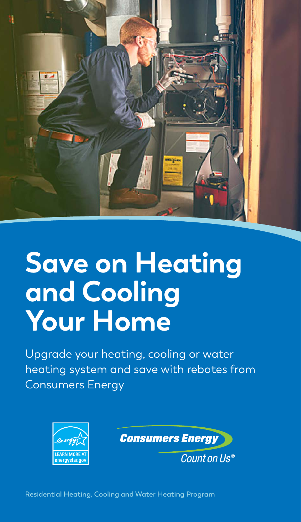

# **Save on Heating and Cooling Your Home**

Upgrade your heating, cooling or water heating system and save with rebates from Consumers Energy





Count on Us®

**Residential Heating, Cooling and Water Heating Program**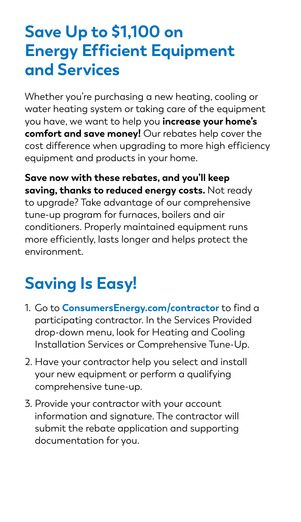### **Save Up to \$1,100 on Energy Efficient Equipment and Services**

Whether you're purchasing a new heating, cooling or water heating system or taking care of the equipment you have, we want to help you **increase your home's comfort and save money!** Our rebates help cover the cost difference when upgrading to more high efficiency equipment and products in your home.

**Save now with these rebates, and you'll keep saving, thanks to reduced energy costs.** Not ready to upgrade? Take advantage of our comprehensive tune-up program for furnaces, boilers and air conditioners. Properly maintained equipment runs more efficiently, lasts longer and helps protect the environment.

## **Saving Is Easy!**

- 1. Go to **ConsumersEnergy.com/contractor** to find a participating contractor. In the Services Provided drop-down menu, look for Heating and Cooling Installation Services or Comprehensive Tune-Up.
- 2. Have your contractor help you select and install your new equipment or perform a qualifying comprehensive tune-up.
- 3. Provide your contractor with your account information and signature. The contractor will submit the rebate application and supporting documentation for you.